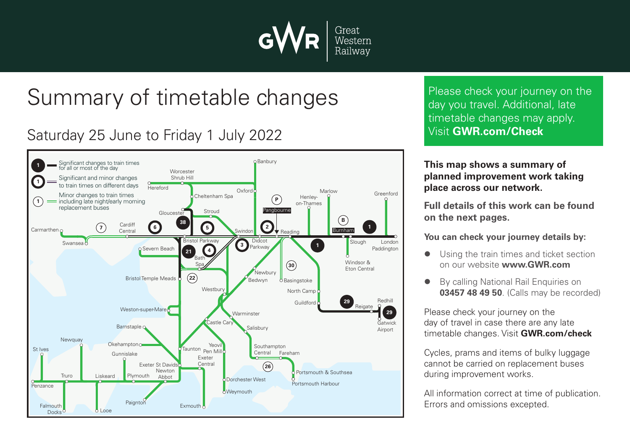

# Summary of timetable changes

# Saturday 25 June to Friday 1 July 2022



Please check your journey on the day you travel. Additional, late timetable changes may apply. Visit **GWR.com/Check**

#### **This map shows a summary of planned improvement work taking place across our network.**

**Full details of this work can be found on the next pages.**

**You can check your journey details by:**

- Using the train times and ticket section on our website **www.GWR.com**
- By calling National Rail Enquiries on **03457 48 49 50**. (Calls may be recorded)

Please check your journey on the day of travel in case there are any late timetable changes. Visit **GWR.com/check**

Cycles, prams and items of bulky luggage cannot be carried on replacement buses during improvement works.

All information correct at time of publication. Errors and omissions excepted.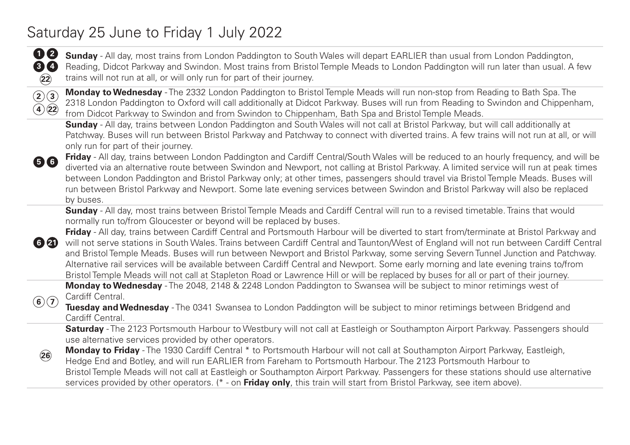### Saturday 25 June to Friday 1 July 2022



**Sunday** - All day, most trains from London Paddington to South Wales will depart EARLIER than usual from London Paddington, Reading, Didcot Parkway and Swindon. Most trains from Bristol Temple Meads to London Paddington will run later than usual. A few trains will not run at all, or will only run for part of their journey.



**Monday to Wednesday** - The 2332 London Paddington to Bristol Temple Meads will run non-stop from Reading to Bath Spa. The 2318 London Paddington to Oxford will call additionally at Didcot Parkway. Buses will run from Reading to Swindon and Chippenham, from Didcot Parkway to Swindon and from Swindon to Chippenham, Bath Spa and Bristol Temple Meads.

**Sunday** - All day, trains between London Paddington and South Wales will not call at Bristol Parkway, but will call additionally at Patchway. Buses will run between Bristol Parkway and Patchway to connect with diverted trains. A few trains will not run at all, or will only run for part of their journey.



**Friday** - All day, trains between London Paddington and Cardiff Central/South Wales will be reduced to an hourly frequency, and will be diverted via an alternative route between Swindon and Newport, not calling at Bristol Parkway. A limited service will run at peak times between London Paddington and Bristol Parkway only; at other times, passengers should travel via Bristol Temple Meads. Buses will run between Bristol Parkway and Newport. Some late evening services between Swindon and Bristol Parkway will also be replaced by buses.

**Sunday** - All day, most trains between Bristol Temple Meads and Cardiff Central will run to a revised timetable. Trains that would normally run to/from Gloucester or beyond will be replaced by buses.

**6 21 Friday** - All day, trains between Cardiff Central and Portsmouth Harbour will be diverted to start from/terminate at Bristol Parkway and will not serve stations in South Wales. Trains between Cardiff Central and Taunton/West of England will not run between Cardiff Central and Bristol Temple Meads. Buses will run between Newport and Bristol Parkway, some serving Severn Tunnel Junction and Patchway. Alternative rail services will be available between Cardiff Central and Newport. Some early morning and late evening trains to/from Bristol Temple Meads will not call at Stapleton Road or Lawrence Hill or will be replaced by buses for all or part of their journey.

**Monday to Wednesday** - The 2048, 2148 & 2248 London Paddington to Swansea will be subject to minor retimings west of Cardiff Central.

**Tuesday and Wednesday** - The 0341 Swansea to London Paddington will be subject to minor retimings between Bridgend and Cardiff Central.

**Saturday** - The 2123 Portsmouth Harbour to Westbury will not call at Eastleigh or Southampton Airport Parkway. Passengers should use alternative services provided by other operators.



 $(6)(7)$ 

**Monday to Friday** - The 1930 Cardiff Central \* to Portsmouth Harbour will not call at Southampton Airport Parkway, Eastleigh, Hedge End and Botley, and will run EARLIER from Fareham to Portsmouth Harbour. The 2123 Portsmouth Harbour to Bristol Temple Meads will not call at Eastleigh or Southampton Airport Parkway. Passengers for these stations should use alternative services provided by other operators. (\* - on **Friday only**, this train will start from Bristol Parkway, see item above).